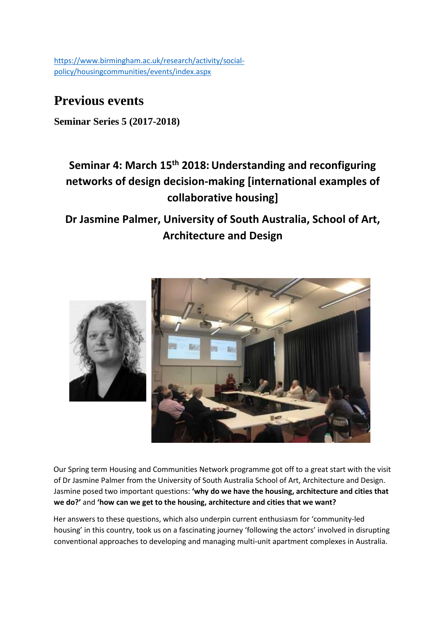[https://www.birmingham.ac.uk/research/activity/social](https://www.birmingham.ac.uk/research/activity/social-policy/housing-communities/events/index.aspx)[policy/housingcommunities/events/index.aspx](https://www.birmingham.ac.uk/research/activity/social-policy/housing-communities/events/index.aspx)

## **Previous events**

**Seminar Series 5 (2017-2018)** 

## **Seminar 4: March 15th 2018:Understanding and reconfiguring networks of design decision-making [international examples of collaborative housing]**

## **Dr Jasmine Palmer, University of South Australia, School of Art, Architecture and Design**



Our Spring term Housing and Communities Network programme got off to a great start with the visit of Dr Jasmine Palmer from the University of South Australia School of Art, Architecture and Design. Jasmine posed two important questions: **'why do we have the housing, architecture and cities that we do?'** and **'how can we get to the housing, architecture and cities that we want?** 

Her answers to these questions, which also underpin current enthusiasm for 'community-led housing' in this country, took us on a fascinating journey 'following the actors' involved in disrupting conventional approaches to developing and managing multi-unit apartment complexes in Australia.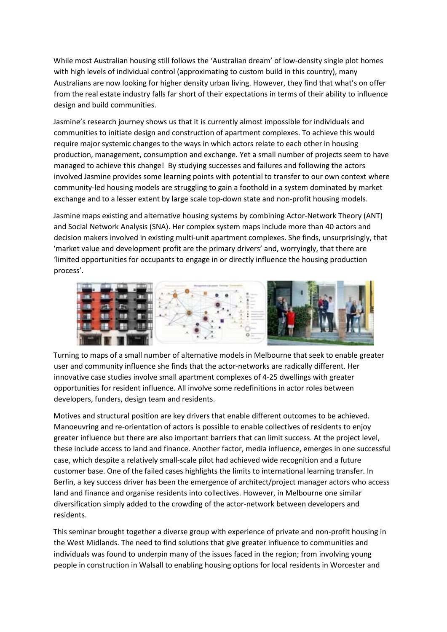While most Australian housing still follows the 'Australian dream' of low-density single plot homes with high levels of individual control (approximating to custom build in this country), many Australians are now looking for higher density urban living. However, they find that what's on offer from the real estate industry falls far short of their expectations in terms of their ability to influence design and build communities.

Jasmine's research journey shows us that it is currently almost impossible for individuals and communities to initiate design and construction of apartment complexes. To achieve this would require major systemic changes to the ways in which actors relate to each other in housing production, management, consumption and exchange. Yet a small number of projects seem to have managed to achieve this change! By studying successes and failures and following the actors involved Jasmine provides some learning points with potential to transfer to our own context where community-led housing models are struggling to gain a foothold in a system dominated by market exchange and to a lesser extent by large scale top-down state and non-profit housing models.

Jasmine maps existing and alternative housing systems by combining Actor-Network Theory (ANT) and Social Network Analysis (SNA). Her complex system maps include more than 40 actors and decision makers involved in existing multi-unit apartment complexes. She finds, unsurprisingly, that 'market value and development profit are the primary drivers' and, worryingly, that there are 'limited opportunities for occupants to engage in or directly influence the housing production process'.



Turning to maps of a small number of alternative models in Melbourne that seek to enable greater user and community influence she finds that the actor-networks are radically different. Her innovative case studies involve small apartment complexes of 4-25 dwellings with greater opportunities for resident influence. All involve some redefinitions in actor roles between developers, funders, design team and residents.

Motives and structural position are key drivers that enable different outcomes to be achieved. Manoeuvring and re-orientation of actors is possible to enable collectives of residents to enjoy greater influence but there are also important barriers that can limit success. At the project level, these include access to land and finance. Another factor, media influence, emerges in one successful case, which despite a relatively small-scale pilot had achieved wide recognition and a future customer base. One of the failed cases highlights the limits to international learning transfer. In Berlin, a key success driver has been the emergence of architect/project manager actors who access land and finance and organise residents into collectives. However, in Melbourne one similar diversification simply added to the crowding of the actor-network between developers and residents.

This seminar brought together a diverse group with experience of private and non-profit housing in the West Midlands. The need to find solutions that give greater influence to communities and individuals was found to underpin many of the issues faced in the region; from involving young people in construction in Walsall to enabling housing options for local residents in Worcester and